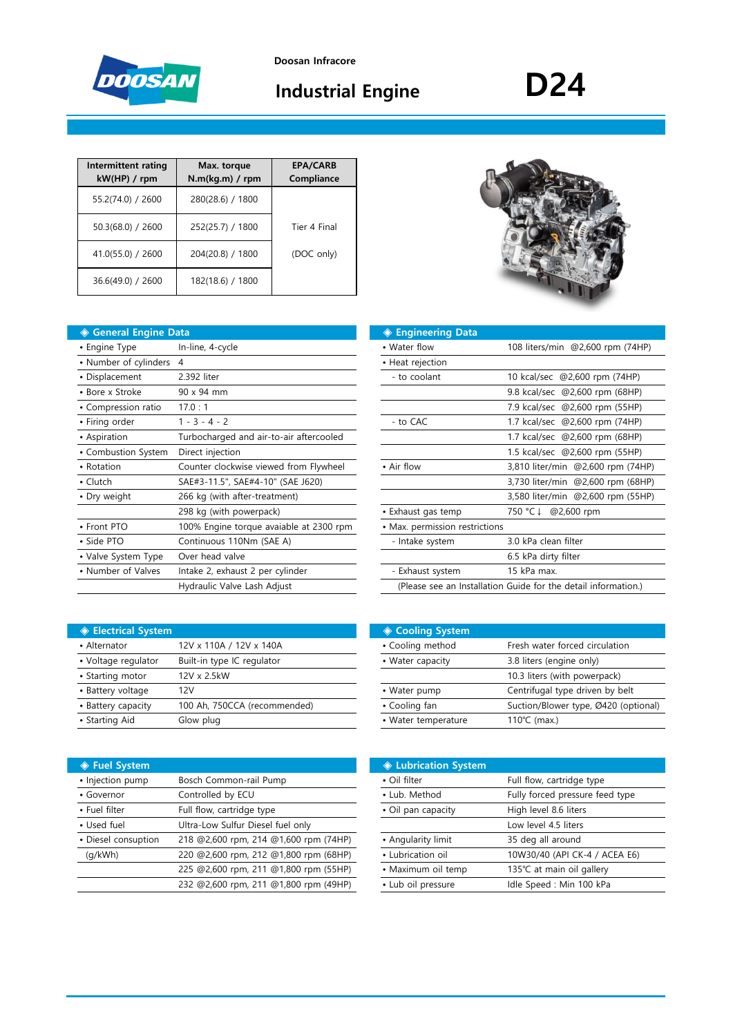

# **Industrial Engine D24**

| Intermittent rating<br>kW(HP) / rpm | Max. torque<br>N.m(kg.m) / rpm | <b>EPA/CARB</b><br>Compliance |
|-------------------------------------|--------------------------------|-------------------------------|
| 55.2(74.0) / 2600                   | 280(28.6) / 1800               |                               |
| 50.3(68.0) / 2600                   | 252(25.7) / 1800               | Tier 4 Final                  |
| 41.0(55.0) / 2600                   | 204(20.8) / 1800               | (DOC only)                    |
| 36.6(49.0) / 2600                   | 182(18.6) / 1800               |                               |

| ◆ General Engine Data   |                                         | ◈ Engineering Data             |                                                                |
|-------------------------|-----------------------------------------|--------------------------------|----------------------------------------------------------------|
| • Engine Type           | In-line, 4-cycle                        | • Water flow                   | 108 liters/min @2,600 rpm (74HP)                               |
| • Number of cylinders 4 |                                         | • Heat rejection               |                                                                |
| • Displacement          | 2.392 liter                             | - to coolant                   | 10 kcal/sec @2,600 rpm (74HP)                                  |
| • Bore x Stroke         | 90 x 94 mm                              |                                | 9.8 kcal/sec @2,600 rpm (68HP)                                 |
| • Compression ratio     | 17.0:1                                  |                                | 7.9 kcal/sec @2,600 rpm (55HP)                                 |
| • Firing order          | $1 - 3 - 4 - 2$                         | - to CAC                       | 1.7 kcal/sec @2,600 rpm (74HP)                                 |
| • Aspiration            | Turbocharged and air-to-air aftercooled |                                | 1.7 kcal/sec @2,600 rpm (68HP)                                 |
| • Combustion System     | Direct injection                        |                                | 1.5 kcal/sec @2,600 rpm (55HP)                                 |
| • Rotation              | Counter clockwise viewed from Flywheel  | • Air flow                     | 3,810 liter/min @2,600 rpm (74HP)                              |
| • Clutch                | SAE#3-11.5", SAE#4-10" (SAE J620)       |                                | 3,730 liter/min @2,600 rpm (68HP)                              |
| • Dry weight            | 266 kg (with after-treatment)           |                                | 3,580 liter/min @2,600 rpm (55HP)                              |
|                         | 298 kg (with powerpack)                 | • Exhaust gas temp             | 750 °C ↓<br>@2,600 rpm                                         |
| • Front PTO             | 100% Engine torque avaiable at 2300 rpm | • Max. permission restrictions |                                                                |
| • Side PTO              | Continuous 110Nm (SAE A)                | - Intake system                | 3.0 kPa clean filter                                           |
| • Valve System Type     | Over head valve                         |                                | 6.5 kPa dirty filter                                           |
| • Number of Valves      | Intake 2, exhaust 2 per cylinder        | - Exhaust system               | 15 kPa max.                                                    |
|                         | Hydraulic Valve Lash Adjust             |                                | (Please see an Installation Guide for the detail information.) |
|                         |                                         |                                |                                                                |

| 4                                       | • Heat rejection               |                                                                |
|-----------------------------------------|--------------------------------|----------------------------------------------------------------|
| 2.392 liter                             | - to coolant                   | 10 kcal/sec @2,600 rpm (74HP)                                  |
| 90 x 94 mm                              |                                | 9.8 kcal/sec @2,600 rpm (68HP)                                 |
| 17.0:1                                  |                                | 7.9 kcal/sec @2,600 rpm (55HP)                                 |
| $1 - 3 - 4 - 2$                         | - to CAC                       | 1.7 kcal/sec @2,600 rpm (74HP)                                 |
| Turbocharged and air-to-air aftercooled |                                | 1.7 kcal/sec @2,600 rpm (68HP)                                 |
| Direct injection                        |                                | 1.5 kcal/sec @2,600 rpm (55HP)                                 |
| Counter clockwise viewed from Flywheel  | • Air flow                     | 3,810 liter/min @2,600 rpm (74HP)                              |
| SAE#3-11.5", SAE#4-10" (SAE J620)       |                                | 3,730 liter/min @2,600 rpm (68HP)                              |
| 266 kg (with after-treatment)           |                                | 3,580 liter/min @2,600 rpm (55HP)                              |
| 298 kg (with powerpack)                 | • Exhaust gas temp             | 750 °C ↓<br>@2,600 rpm                                         |
| 100% Engine torque avaiable at 2300 rpm | • Max. permission restrictions |                                                                |
| Continuous 110Nm (SAE A)                | - Intake system                | 3.0 kPa clean filter                                           |
| Over head valve                         |                                | 6.5 kPa dirty filter                                           |
| Intake 2, exhaust 2 per cylinder        | - Exhaust system               | 15 kPa max.                                                    |
| Hydraulic Valve Lash Adjust             |                                | (Please see an Installation Guide for the detail information.) |

| <b>♦ Electrical System</b> |                              | <b>♦ Cooling System</b> |                                 |
|----------------------------|------------------------------|-------------------------|---------------------------------|
| • Alternator               | 12V x 110A / 12V x 140A      | • Cooling method        | Fresh water forced circulation  |
| • Voltage regulator        | Built-in type IC regulator   | • Water capacity        | 3.8 liters (engine only)        |
| • Starting motor           | 12V x 2.5kW                  |                         | 10.3 liters (with powerpack)    |
| • Battery voltage          | 12V                          | • Water pump            | Centrifugal type driven by belt |
| • Battery capacity         | 100 Ah, 750CCA (recommended) | • Cooling fan           | Suction/Blower type, Ø420 (op   |
| • Starting Aid             | Glow plug                    | • Water temperature     | $110^{\circ}$ C (max.)          |
|                            |                              |                         |                                 |

| ◈ Electrical System i |                              | ◈ Cooling System    |                                      |
|-----------------------|------------------------------|---------------------|--------------------------------------|
| • Alternator          | 12V x 110A / 12V x 140A      | • Cooling method    | Fresh water forced circulation       |
| • Voltage regulator   | Built-in type IC regulator   | • Water capacity    | 3.8 liters (engine only)             |
| • Starting motor      | 12V x 2.5kW                  |                     | 10.3 liters (with powerpack)         |
| • Battery voltage     | 12V                          | • Water pump        | Centrifugal type driven by belt      |
| • Battery capacity    | 100 Ah, 750CCA (recommended) | • Cooling fan       | Suction/Blower type, Ø420 (optional) |
| • Starting Aid        | Glow plug                    | • Water temperature | 110 $°C$ (max.)                      |
|                       |                              |                     |                                      |

| ◈ Fuel System       |                                       | <b>♦ Lubrication System</b> |                                 |
|---------------------|---------------------------------------|-----------------------------|---------------------------------|
| · Injection pump    | Bosch Common-rail Pump                | • Oil filter                | Full flow, cartridge type       |
| • Governor          | Controlled by ECU                     | • Lub. Method               | Fully forced pressure feed type |
| • Fuel filter       | Full flow, cartridge type             | • Oil pan capacity          | High level 8.6 liters           |
| • Used fuel         | Ultra-Low Sulfur Diesel fuel only     |                             | Low level 4.5 liters            |
| • Diesel consuption | 218 @2,600 rpm, 214 @1,600 rpm (74HP) | • Angularity limit          | 35 deg all around               |
| (q/kWh)             | 220 @2,600 rpm, 212 @1,800 rpm (68HP) | • Lubrication oil           | 10W30/40 (API CK-4 / ACEA E6)   |
|                     | 225 @2,600 rpm, 211 @1,800 rpm (55HP) | • Maximum oil temp          | 135℃ at main oil gallery        |
|                     | 232 @2,600 rpm, 211 @1,800 rpm (49HP) | • Lub oil pressure          | Idle Speed: Min 100 kPa         |
|                     |                                       |                             |                                 |

|                                       | <b>♦ Lubrication System</b> |                                 |
|---------------------------------------|-----------------------------|---------------------------------|
| Bosch Common-rail Pump                | • Oil filter                | Full flow, cartridge type       |
| Controlled by ECU                     | • Lub. Method               | Fully forced pressure feed type |
| Full flow, cartridge type             | • Oil pan capacity          | High level 8.6 liters           |
| Ultra-Low Sulfur Diesel fuel only     |                             | Low level 4.5 liters            |
| 218 @2,600 rpm, 214 @1,600 rpm (74HP) | • Angularity limit          | 35 deg all around               |
| 220 @2,600 rpm, 212 @1,800 rpm (68HP) | • Lubrication oil           | 10W30/40 (API CK-4 / ACEA E6)   |
| 225 @2,600 rpm, 211 @1,800 rpm (55HP) | • Maximum oil temp          | 135℃ at main oil gallery        |
| 232 @2,600 rpm, 211 @1,800 rpm (49HP) | • Lub oil pressure          | Idle Speed: Min 100 kPa         |

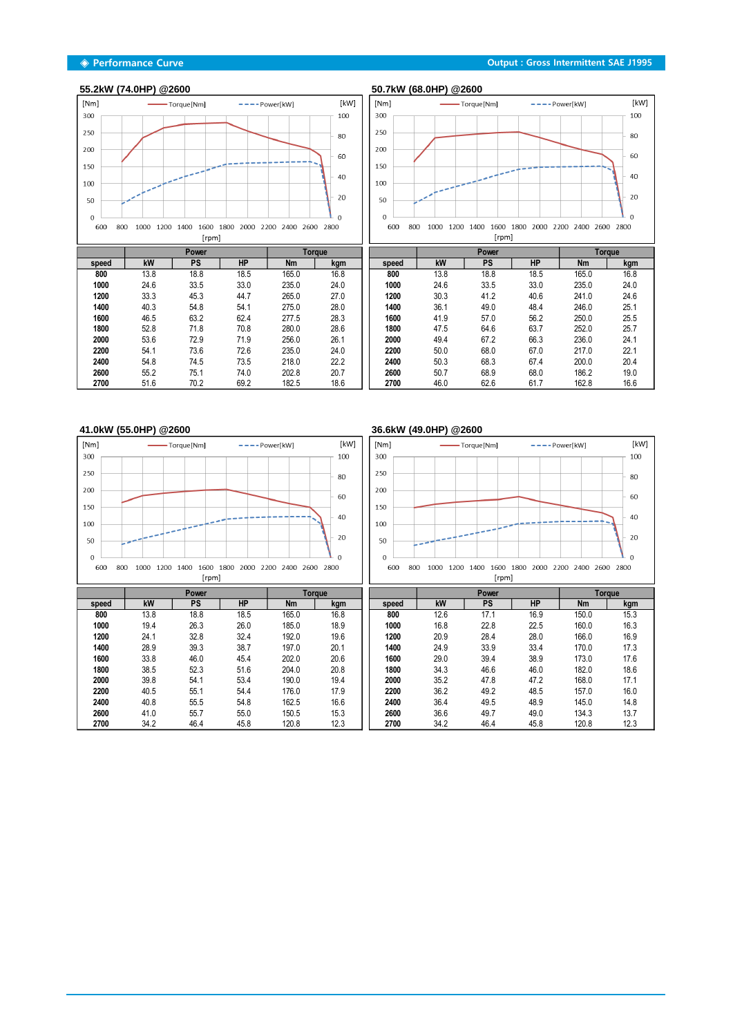## **55.2kW (74.0HP) @2600 50.7kW (68.0HP) @2600**



|       |      | Power     |           |           | Toraue |
|-------|------|-----------|-----------|-----------|--------|
| speed | kW   | <b>PS</b> | <b>HP</b> | <b>Nm</b> | kgm    |
| 800   | 13.8 | 18.8      | 18.5      | 165.0     | 16.8   |
| 1000  | 24.6 | 33.5      | 33.0      | 235.0     | 24.0   |
| 1200  | 33.3 | 45.3      | 44.7      | 265.0     | 27.0   |
| 1400  | 40.3 | 54.8      | 54.1      | 275.0     | 28.0   |
| 1600  | 46.5 | 63.2      | 62.4      | 277.5     | 28.3   |
| 1800  | 52.8 | 71.8      | 70.8      | 280.0     | 28.6   |
| 2000  | 53.6 | 72.9      | 71.9      | 256.0     | 26.1   |
| 2200  | 54.1 | 73.6      | 72.6      | 235.0     | 24.0   |
| 2400  | 54.8 | 74.5      | 73.5      | 218.0     | 22.2   |
| 2600  | 55.2 | 75.1      | 74.0      | 202.8     | 20.7   |
| 2700  | 51.6 | 70.2      | 69.2      | 182.5     | 18.6   |



|       |      | <b>Power</b> |           |           | <b>Torque</b> |
|-------|------|--------------|-----------|-----------|---------------|
| speed | kW   | <b>PS</b>    | <b>HP</b> | <b>Nm</b> | kgm           |
| 800   | 13.8 | 18.8         | 18.5      | 165.0     | 16.8          |
| 1000  | 24.6 | 33.5         | 33.0      | 235.0     | 24.0          |
| 1200  | 30.3 | 41.2         | 40.6      | 241.0     | 24.6          |
| 1400  | 36.1 | 49.0         | 48.4      | 246.0     | 25.1          |
| 1600  | 41.9 | 57.0         | 56.2      | 250.0     | 25.5          |
| 1800  | 47.5 | 64.6         | 63.7      | 252.0     | 25.7          |
| 2000  | 49.4 | 67.2         | 66.3      | 236.0     | 24.1          |
| 2200  | 50.0 | 68.0         | 67.0      | 217.0     | 22.1          |
| 2400  | 50.3 | 68.3         | 67.4      | 200.0     | 20.4          |
| 2600  | 50.7 | 68.9         | 68.0      | 186.2     | 19.0          |
| 2700  | 46.0 | 62.6         | 61.7      | 162.8     | 16.6          |

<u> Tanzania (</u>



# **41.0kW (55.0HP) @2600 36.6kW (49.0HP) @2600**



### $[$ rm pm]

|       |      | Power     |      |           | Toraue |       |      | Power |           |       | Toraue |
|-------|------|-----------|------|-----------|--------|-------|------|-------|-----------|-------|--------|
| speed | kW   | <b>PS</b> | HP   | <b>Nm</b> | kgm    | speed | kW   | PS    | <b>HP</b> | Nm    | kgm    |
| 800   | 13.8 | 18.8      | 18.5 | 165.0     | 16.8   | 800   | 12.6 | 17.1  | 16.9      | 150.0 | 15.3   |
| 1000  | 19.4 | 26.3      | 26.0 | 185.0     | 18.9   | 1000  | 16.8 | 22.8  | 22.5      | 160.0 | 16.3   |
| 1200  | 24.7 | 32.8      | 32.4 | 192.0     | 19.6   | 1200  | 20.9 | 28.4  | 28.0      | 166.0 | 16.9   |
| 1400  | 28.9 | 39.3      | 38.7 | 197.0     | 20.1   | 1400  | 24.9 | 33.9  | 33.4      | 170.0 | 17.3   |
| 1600  | 33.8 | 46.0      | 45.4 | 202.0     | 20.6   | 1600  | 29.0 | 39.4  | 38.9      | 173.0 | 17.6   |
| 1800  | 38.5 | 52.3      | 51.6 | 204.0     | 20.8   | 1800  | 34.3 | 46.6  | 46.0      | 182.0 | 18.6   |
| 2000  | 39.8 | 54.1      | 53.4 | 190.0     | 19.4   | 2000  | 35.2 | 47.8  | 47.2      | 168.0 | 17.1   |
| 2200  | 40.5 | 55.1      | 54.4 | 176.0     | 17.9   | 2200  | 36.2 | 49.2  | 48.5      | 157.0 | 16.0   |
| 2400  | 40.8 | 55.5      | 54.8 | 162.5     | 16.6   | 2400  | 36.4 | 49.5  | 48.9      | 145.0 | 14.8   |
| 2600  | 41.0 | 55.7      | 55.0 | 150.5     | 15.3   | 2600  | 36.6 | 49.7  | 49.0      | 134.3 | 13.7   |
| 2700  | 34.2 | 46.4      | 45.8 | 120.8     | 12.3   | 2700  | 34.2 | 46.4  | 45.8      | 120.8 | 12.3   |

╗  $\overline{1}$  <u> Tanzania de Ca</u>